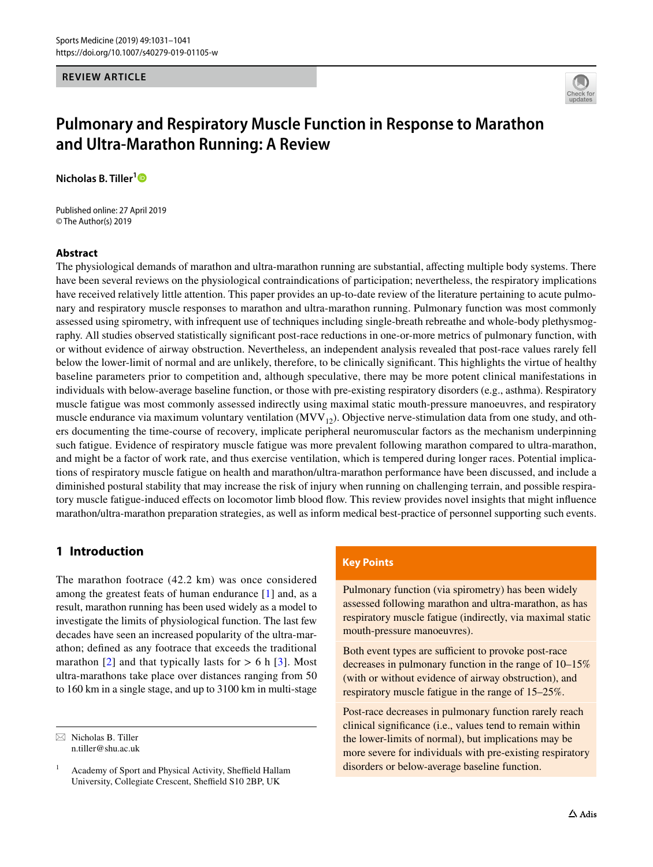## **REVIEW ARTICLE**



# **Pulmonary and Respiratory Muscle Function in Response to Marathon and Ultra‑Marathon Running: A Review**

**Nicholas B. Tiller[1](http://orcid.org/0000-0001-8429-658X)**

Published online: 27 April 2019 © The Author(s) 2019

#### **Abstract**

The physiological demands of marathon and ultra-marathon running are substantial, afecting multiple body systems. There have been several reviews on the physiological contraindications of participation; nevertheless, the respiratory implications have received relatively little attention. This paper provides an up-to-date review of the literature pertaining to acute pulmonary and respiratory muscle responses to marathon and ultra-marathon running. Pulmonary function was most commonly assessed using spirometry, with infrequent use of techniques including single-breath rebreathe and whole-body plethysmography. All studies observed statistically signifcant post-race reductions in one-or-more metrics of pulmonary function, with or without evidence of airway obstruction. Nevertheless, an independent analysis revealed that post-race values rarely fell below the lower-limit of normal and are unlikely, therefore, to be clinically signifcant. This highlights the virtue of healthy baseline parameters prior to competition and, although speculative, there may be more potent clinical manifestations in individuals with below-average baseline function, or those with pre-existing respiratory disorders (e.g., asthma). Respiratory muscle fatigue was most commonly assessed indirectly using maximal static mouth-pressure manoeuvres, and respiratory muscle endurance via maximum voluntary ventilation  $(MVV_{12})$ . Objective nerve-stimulation data from one study, and others documenting the time-course of recovery, implicate peripheral neuromuscular factors as the mechanism underpinning such fatigue. Evidence of respiratory muscle fatigue was more prevalent following marathon compared to ultra-marathon, and might be a factor of work rate, and thus exercise ventilation, which is tempered during longer races. Potential implications of respiratory muscle fatigue on health and marathon/ultra-marathon performance have been discussed, and include a diminished postural stability that may increase the risk of injury when running on challenging terrain, and possible respiratory muscle fatigue-induced efects on locomotor limb blood fow. This review provides novel insights that might infuence marathon/ultra-marathon preparation strategies, as well as inform medical best-practice of personnel supporting such events.

# **1 Introduction**

The marathon footrace (42.2 km) was once considered among the greatest feats of human endurance [\[1](#page-9-0)] and, as a result, marathon running has been used widely as a model to investigate the limits of physiological function. The last few decades have seen an increased popularity of the ultra-marathon; defned as any footrace that exceeds the traditional marathon  $[2]$  $[2]$  $[2]$  and that typically lasts for  $> 6$  h  $[3]$ . Most ultra-marathons take place over distances ranging from 50 to 160 km in a single stage, and up to 3100 km in multi-stage

# **Key Points**

Pulmonary function (via spirometry) has been widely assessed following marathon and ultra-marathon, as has respiratory muscle fatigue (indirectly, via maximal static mouth-pressure manoeuvres).

Both event types are sufficient to provoke post-race decreases in pulmonary function in the range of 10–15% (with or without evidence of airway obstruction), and respiratory muscle fatigue in the range of 15–25%.

Post-race decreases in pulmonary function rarely reach clinical signifcance (i.e., values tend to remain within the lower-limits of normal), but implications may be more severe for individuals with pre-existing respiratory disorders or below-average baseline function.

 $\boxtimes$  Nicholas B. Tiller n.tiller@shu.ac.uk

<sup>&</sup>lt;sup>1</sup> Academy of Sport and Physical Activity, Sheffield Hallam University, Collegiate Crescent, Sheffield S10 2BP, UK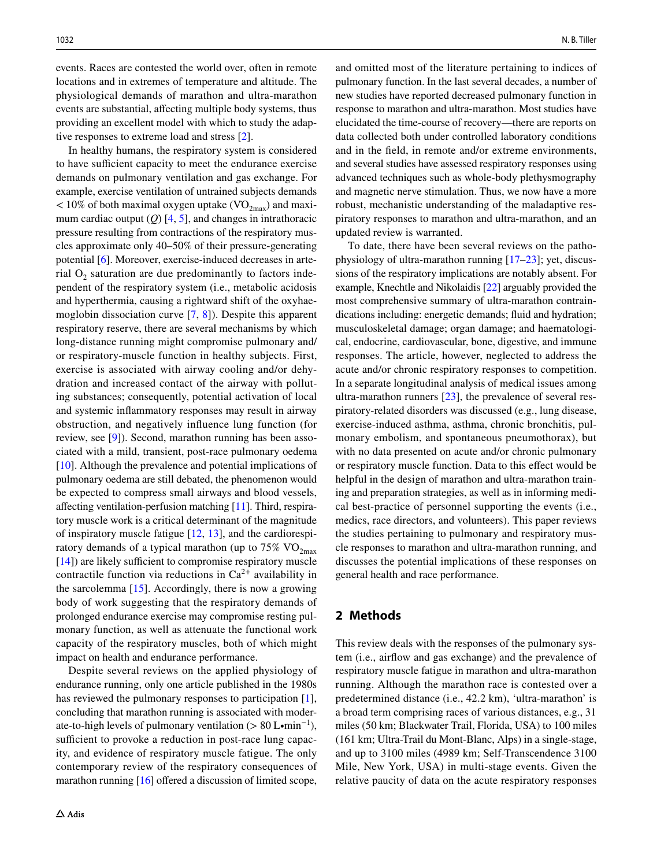events. Races are contested the world over, often in remote locations and in extremes of temperature and altitude. The physiological demands of marathon and ultra-marathon events are substantial, afecting multiple body systems, thus providing an excellent model with which to study the adaptive responses to extreme load and stress [\[2](#page-9-1)].

In healthy humans, the respiratory system is considered to have sufficient capacity to meet the endurance exercise demands on pulmonary ventilation and gas exchange. For example, exercise ventilation of untrained subjects demands  $< 10\%$  of both maximal oxygen uptake (VO<sub>2max</sub>) and maximum cardiac output  $(Q)$  [\[4](#page-9-3), [5](#page-9-4)], and changes in intrathoracic pressure resulting from contractions of the respiratory muscles approximate only 40–50% of their pressure-generating potential [[6](#page-9-5)]. Moreover, exercise-induced decreases in arterial  $O_2$  saturation are due predominantly to factors independent of the respiratory system (i.e., metabolic acidosis and hyperthermia, causing a rightward shift of the oxyhaemoglobin dissociation curve [[7](#page-9-6), [8\]](#page-9-7)). Despite this apparent respiratory reserve, there are several mechanisms by which long-distance running might compromise pulmonary and/ or respiratory-muscle function in healthy subjects. First, exercise is associated with airway cooling and/or dehydration and increased contact of the airway with polluting substances; consequently, potential activation of local and systemic infammatory responses may result in airway obstruction, and negatively infuence lung function (for review, see [\[9](#page-9-8)]). Second, marathon running has been associated with a mild, transient, post-race pulmonary oedema [\[10\]](#page-9-9). Although the prevalence and potential implications of pulmonary oedema are still debated, the phenomenon would be expected to compress small airways and blood vessels, afecting ventilation-perfusion matching [[11\]](#page-9-10). Third, respiratory muscle work is a critical determinant of the magnitude of inspiratory muscle fatigue [\[12](#page-9-11), [13\]](#page-9-12), and the cardiorespiratory demands of a typical marathon (up to  $75\%$  VO<sub>2max</sub> [\[14](#page-9-13)]) are likely sufficient to compromise respiratory muscle contractile function via reductions in  $Ca^{2+}$  availability in the sarcolemma  $[15]$ . Accordingly, there is now a growing body of work suggesting that the respiratory demands of prolonged endurance exercise may compromise resting pulmonary function, as well as attenuate the functional work capacity of the respiratory muscles, both of which might impact on health and endurance performance.

Despite several reviews on the applied physiology of endurance running, only one article published in the 1980s has reviewed the pulmonary responses to participation [\[1](#page-9-0)], concluding that marathon running is associated with moderate-to-high levels of pulmonary ventilation (> 80 L•min<sup>-1</sup>), sufficient to provoke a reduction in post-race lung capacity, and evidence of respiratory muscle fatigue. The only contemporary review of the respiratory consequences of marathon running  $[16]$  $[16]$  offered a discussion of limited scope,

and omitted most of the literature pertaining to indices of pulmonary function. In the last several decades, a number of new studies have reported decreased pulmonary function in response to marathon and ultra-marathon. Most studies have elucidated the time-course of recovery—there are reports on data collected both under controlled laboratory conditions and in the feld, in remote and/or extreme environments, and several studies have assessed respiratory responses using advanced techniques such as whole-body plethysmography and magnetic nerve stimulation. Thus, we now have a more robust, mechanistic understanding of the maladaptive respiratory responses to marathon and ultra-marathon, and an updated review is warranted.

To date, there have been several reviews on the pathophysiology of ultra-marathon running [[17–](#page-9-16)[23\]](#page-9-17); yet, discussions of the respiratory implications are notably absent. For example, Knechtle and Nikolaidis [[22\]](#page-9-18) arguably provided the most comprehensive summary of ultra-marathon contraindications including: energetic demands; fuid and hydration; musculoskeletal damage; organ damage; and haematological, endocrine, cardiovascular, bone, digestive, and immune responses. The article, however, neglected to address the acute and/or chronic respiratory responses to competition. In a separate longitudinal analysis of medical issues among ultra-marathon runners [\[23](#page-9-17)], the prevalence of several respiratory-related disorders was discussed (e.g., lung disease, exercise-induced asthma, asthma, chronic bronchitis, pulmonary embolism, and spontaneous pneumothorax), but with no data presented on acute and/or chronic pulmonary or respiratory muscle function. Data to this efect would be helpful in the design of marathon and ultra-marathon training and preparation strategies, as well as in informing medical best-practice of personnel supporting the events (i.e., medics, race directors, and volunteers). This paper reviews the studies pertaining to pulmonary and respiratory muscle responses to marathon and ultra-marathon running, and discusses the potential implications of these responses on general health and race performance.

# **2 Methods**

This review deals with the responses of the pulmonary system (i.e., airfow and gas exchange) and the prevalence of respiratory muscle fatigue in marathon and ultra-marathon running. Although the marathon race is contested over a predetermined distance (i.e., 42.2 km), 'ultra-marathon' is a broad term comprising races of various distances, e.g., 31 miles (50 km; Blackwater Trail, Florida, USA) to 100 miles (161 km; Ultra-Trail du Mont-Blanc, Alps) in a single-stage, and up to 3100 miles (4989 km; Self-Transcendence 3100 Mile, New York, USA) in multi-stage events. Given the relative paucity of data on the acute respiratory responses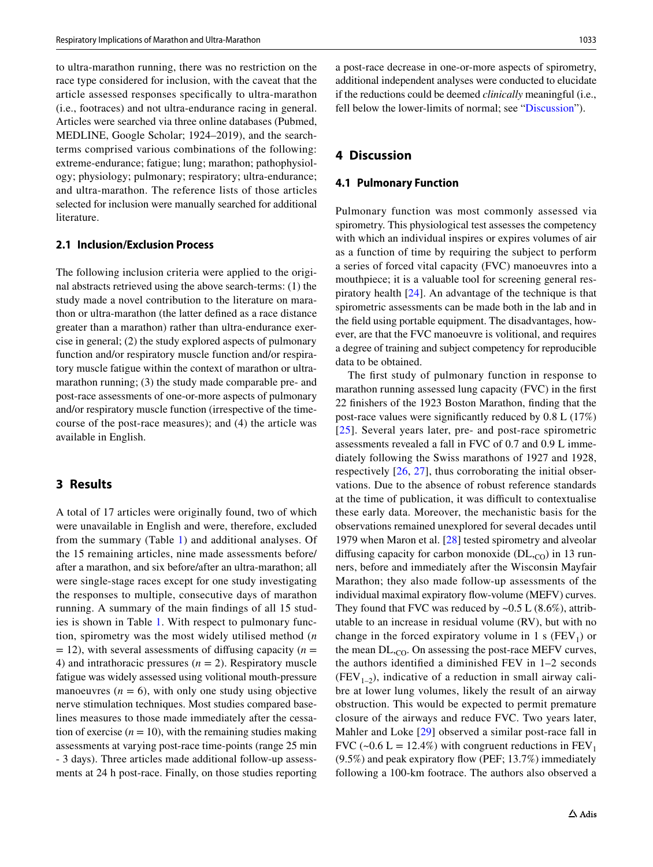to ultra-marathon running, there was no restriction on the race type considered for inclusion, with the caveat that the article assessed responses specifcally to ultra-marathon (i.e., footraces) and not ultra-endurance racing in general. Articles were searched via three online databases (Pubmed, MEDLINE, Google Scholar; 1924–2019), and the searchterms comprised various combinations of the following: extreme-endurance; fatigue; lung; marathon; pathophysiology; physiology; pulmonary; respiratory; ultra-endurance; and ultra-marathon. The reference lists of those articles selected for inclusion were manually searched for additional literature.

### **2.1 Inclusion/Exclusion Process**

The following inclusion criteria were applied to the original abstracts retrieved using the above search-terms: (1) the study made a novel contribution to the literature on marathon or ultra-marathon (the latter defned as a race distance greater than a marathon) rather than ultra-endurance exercise in general; (2) the study explored aspects of pulmonary function and/or respiratory muscle function and/or respiratory muscle fatigue within the context of marathon or ultramarathon running; (3) the study made comparable pre- and post-race assessments of one-or-more aspects of pulmonary and/or respiratory muscle function (irrespective of the timecourse of the post-race measures); and (4) the article was available in English.

# **3 Results**

A total of 17 articles were originally found, two of which were unavailable in English and were, therefore, excluded from the summary (Table [1\)](#page-3-0) and additional analyses. Of the 15 remaining articles, nine made assessments before/ after a marathon, and six before/after an ultra-marathon; all were single-stage races except for one study investigating the responses to multiple, consecutive days of marathon running. A summary of the main fndings of all 15 studies is shown in Table [1](#page-3-0). With respect to pulmonary function, spirometry was the most widely utilised method (*n*  $= 12$ ), with several assessments of diffusing capacity ( $n =$ 4) and intrathoracic pressures  $(n = 2)$ . Respiratory muscle fatigue was widely assessed using volitional mouth-pressure manoeuvres  $(n = 6)$ , with only one study using objective nerve stimulation techniques. Most studies compared baselines measures to those made immediately after the cessation of exercise  $(n = 10)$ , with the remaining studies making assessments at varying post-race time-points (range 25 min - 3 days). Three articles made additional follow-up assessments at 24 h post-race. Finally, on those studies reporting a post-race decrease in one-or-more aspects of spirometry, additional independent analyses were conducted to elucidate if the reductions could be deemed *clinically* meaningful (i.e., fell below the lower-limits of normal; see "[Discussion"](#page-2-0)).

# <span id="page-2-0"></span>**4 Discussion**

#### **4.1 Pulmonary Function**

Pulmonary function was most commonly assessed via spirometry. This physiological test assesses the competency with which an individual inspires or expires volumes of air as a function of time by requiring the subject to perform a series of forced vital capacity (FVC) manoeuvres into a mouthpiece; it is a valuable tool for screening general respiratory health [[24\]](#page-9-19). An advantage of the technique is that spirometric assessments can be made both in the lab and in the feld using portable equipment. The disadvantages, however, are that the FVC manoeuvre is volitional, and requires a degree of training and subject competency for reproducible data to be obtained.

The frst study of pulmonary function in response to marathon running assessed lung capacity (FVC) in the frst 22 fnishers of the 1923 Boston Marathon, fnding that the post-race values were signifcantly reduced by 0.8 L (17%) [[25](#page-9-20)]. Several years later, pre- and post-race spirometric assessments revealed a fall in FVC of 0.7 and 0.9 L immediately following the Swiss marathons of 1927 and 1928, respectively [[26](#page-9-21), [27\]](#page-9-22), thus corroborating the initial observations. Due to the absence of robust reference standards at the time of publication, it was difficult to contextualise these early data. Moreover, the mechanistic basis for the observations remained unexplored for several decades until 1979 when Maron et al. [\[28](#page-9-23)] tested spirometry and alveolar diffusing capacity for carbon monoxide ( $DL<sub>CO</sub>$ ) in 13 runners, before and immediately after the Wisconsin Mayfair Marathon; they also made follow-up assessments of the individual maximal expiratory flow-volume (MEFV) curves. They found that FVC was reduced by  $\sim 0.5$  L (8.6%), attributable to an increase in residual volume (RV), but with no change in the forced expiratory volume in 1 s  $(FEV_1)$  or the mean  $DL_{,CO}$ . On assessing the post-race MEFV curves, the authors identifed a diminished FEV in 1–2 seconds  $(FEV_{1-2})$ , indicative of a reduction in small airway calibre at lower lung volumes, likely the result of an airway obstruction. This would be expected to permit premature closure of the airways and reduce FVC. Two years later, Mahler and Loke [[29\]](#page-9-24) observed a similar post-race fall in FVC (~0.6 L = 12.4%) with congruent reductions in  $FEV<sub>1</sub>$ (9.5%) and peak expiratory fow (PEF; 13.7%) immediately following a 100-km footrace. The authors also observed a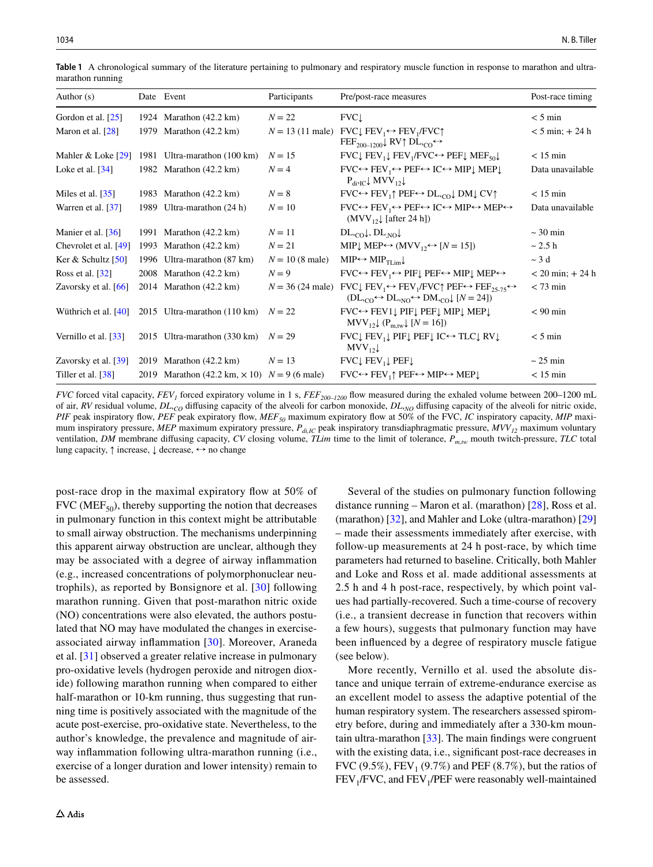| Author $(s)$                       | Date Event                                            | Participants              | Pre/post-race measures                                                                                                                                                                                                                        | Post-race timing     |
|------------------------------------|-------------------------------------------------------|---------------------------|-----------------------------------------------------------------------------------------------------------------------------------------------------------------------------------------------------------------------------------------------|----------------------|
| Gordon et al. $[25]$               | 1924 Marathon (42.2 km)                               | $N = 22$                  | FVC                                                                                                                                                                                                                                           | $< 5 \text{ min}$    |
| Maron et al. $[28]$                | 1979 Marathon (42.2 km)                               |                           | $N = 13$ (11 male) FVC FEV <sub>1</sub> $\leftrightarrow$ FEV <sub>1</sub> /FVC $\uparrow$<br>$\text{FEF}_{200-1200}$ RV DL, $_{\text{CO}} \leftrightarrow$                                                                                   | $< 5$ min; $+ 24$ h  |
| Mahler & Loke [29]                 | 1981 Ultra-marathon (100 km)                          | $N = 15$                  | FVC FEV <sub>1</sub> FEV <sub>1</sub> /FVC $\leftrightarrow$ PEF MEF <sub>50</sub>                                                                                                                                                            | $< 15$ min           |
| Loke et al. $[34]$                 | 1982 Marathon (42.2 km)                               | $N = 4$                   | $FVC \leftrightarrow FEV_1 \leftrightarrow PEF \leftrightarrow IC \leftrightarrow MIP\downarrow MEP\downarrow$<br>$P_{div}$ MVV <sub>12</sub>                                                                                                 | Data unavailable     |
| Miles et al. $[35]$                | 1983 Marathon (42.2 km)                               | $N=8$                     | $FVC \leftrightarrow FEV_1 \uparrow PEF \leftrightarrow DL_{rCO} \downarrow DM \downarrow CV \uparrow$                                                                                                                                        | $< 15$ min           |
| Warren et al. [37]                 | 1989 Ultra-marathon (24 h)                            | $N=10$                    | $FVC \leftrightarrow FEV_1 \leftrightarrow PEF \leftrightarrow IC \leftrightarrow MIP \leftrightarrow MEP \leftrightarrow$<br>$(MVV_{12} \downarrow$ [after 24 h])                                                                            | Data unavailable     |
| Manier et al. [36]                 | 1991 Marathon (42.2 km)                               | $N=11$                    | $DL_{,CO} \downarrow$ , $DL_{,NO} \downarrow$                                                                                                                                                                                                 | $\sim$ 30 min        |
| Chevrolet et al. [49]              | 1993 Marathon (42.2 km)                               | $N = 21$                  | MIP <sup><math>\downarrow</math></sup> MEP $\leftrightarrow$ (MVV <sub>12</sub> $\leftrightarrow$ [N = 15])                                                                                                                                   | $\sim$ 2.5 h         |
| Ker & Schultz $[50]$               | 1996 Ultra-marathon (87 km)                           | $N = 10 (8 \text{ male})$ | $MIP \leftrightarrow MIP_{TLim}$                                                                                                                                                                                                              | $\sim$ 3 d           |
| Ross et al. $\left[32\right]$      | 2008 Marathon $(42.2 \text{ km})$                     | $N=9$                     | $FVC \leftrightarrow FEV_1 \leftrightarrow PIFU$ PEF $\leftrightarrow MIPU$ MEP $\leftrightarrow$                                                                                                                                             | $< 20$ min; $+ 24$ h |
| Zavorsky et al. $[66]$             | 2014 Marathon $(42.2 \text{ km})$                     |                           | $N = 36$ (24 male) FVC FEV <sub>1</sub> $\leftrightarrow$ FEV <sub>1</sub> /FVC $\uparrow$ PEF $\leftrightarrow$ FEF <sub>25-75</sub> $\leftrightarrow$<br>$(DL_{,CO} \leftrightarrow DL_{,NO} \leftrightarrow DM_{,CO} \downarrow [N = 24])$ | $<$ 73 min           |
| Wüthrich et al. $[40]$             | 2015 Ultra-marathon (110 km)                          | $N = 22$                  | FVC↔ FEV1↓ PIF↓ PEF↓ MIP↓ MEP↓<br>$MV_{12}$ (P <sub>m,tw</sub> ) [N = 16])                                                                                                                                                                    | $< 90$ min           |
| Vernillo et al. $\lceil 33 \rceil$ | 2015 Ultra-marathon (330 km) $N = 29$                 |                           | FVC↓ FEV <sub>1</sub> ↓ PIF↓ PEF↓ IC $\leftrightarrow$ TLC↓ RV↓<br>$MVV_{12}$                                                                                                                                                                 | $< 5 \text{ min}$    |
| Zavorsky et al. $[39]$             | 2019 Marathon $(42.2 \text{ km})$                     | $N = 13$                  | $FVC$ $FEV_1$ $PEF$                                                                                                                                                                                                                           | $\sim$ 25 min        |
| Tiller et al. [38]                 | 2019 Marathon (42.2 km, $\times$ 10) $N = 9$ (6 male) |                           | $FVC \leftrightarrow FEV_1 \uparrow PEF \leftrightarrow MIP \leftrightarrow MEP \downarrow$                                                                                                                                                   | $< 15$ min           |

<span id="page-3-0"></span>**Table 1** A chronological summary of the literature pertaining to pulmonary and respiratory muscle function in response to marathon and ultramarathon running

*FVC* forced vital capacity, *FEV<sub>1</sub>* forced expiratory volume in 1 s, *FEF<sub>200–1200*</sub> flow measured during the exhaled volume between 200–1200 mL of air, *RV* residual volume, *DL*, *CO* difusing capacity of the alveoli for carbon monoxide, *DL*, *NO* difusing capacity of the alveoli for nitric oxide, *PIF* peak inspiratory flow, *PEF* peak expiratory flow, *MEF<sub>50</sub>* maximum expiratory flow at 50% of the FVC, *IC* inspiratory capacity, *MIP* maximum inspiratory pressure, *MEP* maximum expiratory pressure,  $P_{di,IC}$  peak inspiratory transdiaphragmatic pressure,  $MV_{12}$  maximum voluntary ventilation, *DM* membrane difusing capacity, *CV* closing volume, *TLim* time to the limit of tolerance, *Pm,tw* mouth twitch-pressure, *TLC* total lung capacity, *↑* increase, ↓ decrease, ↔ no change

post-race drop in the maximal expiratory fow at 50% of FVC ( $MEF_{50}$ ), thereby supporting the notion that decreases in pulmonary function in this context might be attributable to small airway obstruction. The mechanisms underpinning this apparent airway obstruction are unclear, although they may be associated with a degree of airway infammation (e.g., increased concentrations of polymorphonuclear neutrophils), as reported by Bonsignore et al. [[30](#page-9-25)] following marathon running. Given that post-marathon nitric oxide (NO) concentrations were also elevated, the authors postulated that NO may have modulated the changes in exerciseassociated airway infammation [\[30](#page-9-25)]. Moreover, Araneda et al. [[31](#page-9-26)] observed a greater relative increase in pulmonary pro-oxidative levels (hydrogen peroxide and nitrogen dioxide) following marathon running when compared to either half-marathon or 10-km running, thus suggesting that running time is positively associated with the magnitude of the acute post-exercise, pro-oxidative state. Nevertheless, to the author's knowledge, the prevalence and magnitude of airway infammation following ultra-marathon running (i.e., exercise of a longer duration and lower intensity) remain to be assessed.

Several of the studies on pulmonary function following distance running – Maron et al. (marathon) [[28\]](#page-9-23), Ross et al. (marathon) [[32\]](#page-9-27), and Mahler and Loke (ultra-marathon) [\[29\]](#page-9-24) – made their assessments immediately after exercise, with follow-up measurements at 24 h post-race, by which time parameters had returned to baseline. Critically, both Mahler and Loke and Ross et al. made additional assessments at 2.5 h and 4 h post-race, respectively, by which point values had partially-recovered. Such a time-course of recovery (i.e., a transient decrease in function that recovers within a few hours), suggests that pulmonary function may have been infuenced by a degree of respiratory muscle fatigue (see below).

More recently, Vernillo et al. used the absolute distance and unique terrain of extreme-endurance exercise as an excellent model to assess the adaptive potential of the human respiratory system. The researchers assessed spirometry before, during and immediately after a 330-km mountain ultra-marathon  $[33]$  $[33]$  $[33]$ . The main findings were congruent with the existing data, i.e., signifcant post-race decreases in FVC (9.5%), FEV<sub>1</sub> (9.7%) and PEF (8.7%), but the ratios of  $FEV<sub>1</sub>/FVC$ , and  $FEV<sub>1</sub>/PEF$  were reasonably well-maintained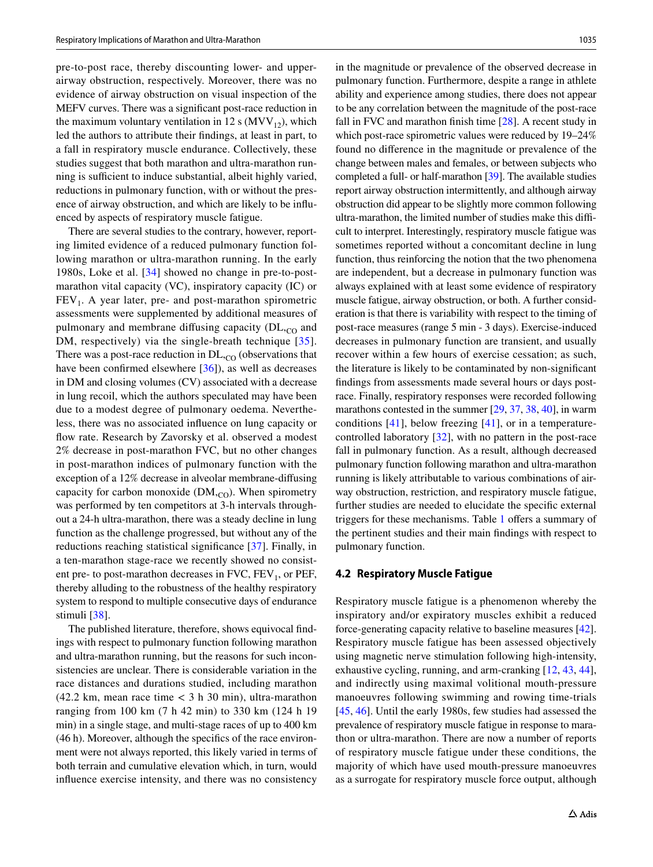pre-to-post race, thereby discounting lower- and upperairway obstruction, respectively. Moreover, there was no evidence of airway obstruction on visual inspection of the MEFV curves. There was a signifcant post-race reduction in the maximum voluntary ventilation in 12 s ( $MVV_{12}$ ), which led the authors to attribute their fndings, at least in part, to a fall in respiratory muscle endurance. Collectively, these studies suggest that both marathon and ultra-marathon running is sufficient to induce substantial, albeit highly varied, reductions in pulmonary function, with or without the presence of airway obstruction, and which are likely to be infuenced by aspects of respiratory muscle fatigue.

There are several studies to the contrary, however, reporting limited evidence of a reduced pulmonary function following marathon or ultra-marathon running. In the early 1980s, Loke et al. [[34](#page-9-29)] showed no change in pre-to-postmarathon vital capacity (VC), inspiratory capacity (IC) or  $FEV<sub>1</sub>$ . A year later, pre- and post-marathon spirometric assessments were supplemented by additional measures of pulmonary and membrane diffusing capacity  $(DL<sub>CO</sub>)$  and DM, respectively) via the single-breath technique [[35](#page-9-30)]. There was a post-race reduction in  $DL_{,CO}$  (observations that have been confirmed elsewhere [\[36](#page-9-32)]), as well as decreases in DM and closing volumes (CV) associated with a decrease in lung recoil, which the authors speculated may have been due to a modest degree of pulmonary oedema. Nevertheless, there was no associated infuence on lung capacity or flow rate. Research by Zavorsky et al. observed a modest 2% decrease in post-marathon FVC, but no other changes in post-marathon indices of pulmonary function with the exception of a 12% decrease in alveolar membrane-difusing capacity for carbon monoxide  $(DM,_{CO})$ . When spirometry was performed by ten competitors at 3-h intervals throughout a 24-h ultra-marathon, there was a steady decline in lung function as the challenge progressed, but without any of the reductions reaching statistical signifcance [[37](#page-9-31)]. Finally, in a ten-marathon stage-race we recently showed no consistent pre- to post-marathon decreases in  $FVC$ ,  $FEV<sub>1</sub>$ , or  $PEF$ , thereby alluding to the robustness of the healthy respiratory system to respond to multiple consecutive days of endurance stimuli [[38\]](#page-10-5).

The published literature, therefore, shows equivocal fndings with respect to pulmonary function following marathon and ultra-marathon running, but the reasons for such inconsistencies are unclear. There is considerable variation in the race distances and durations studied, including marathon  $(42.2 \text{ km}, \text{ mean race time} < 3 \text{ h } 30 \text{ min})$ , ultra-marathon ranging from 100 km (7 h 42 min) to 330 km (124 h 19 min) in a single stage, and multi-stage races of up to 400 km (46 h). Moreover, although the specifcs of the race environment were not always reported, this likely varied in terms of both terrain and cumulative elevation which, in turn, would infuence exercise intensity, and there was no consistency in the magnitude or prevalence of the observed decrease in pulmonary function. Furthermore, despite a range in athlete ability and experience among studies, there does not appear to be any correlation between the magnitude of the post-race fall in FVC and marathon fnish time [\[28](#page-9-23)]. A recent study in which post-race spirometric values were reduced by 19–24% found no diference in the magnitude or prevalence of the change between males and females, or between subjects who completed a full- or half-marathon [\[39](#page-10-4)]. The available studies report airway obstruction intermittently, and although airway obstruction did appear to be slightly more common following ultra-marathon, the limited number of studies make this difficult to interpret. Interestingly, respiratory muscle fatigue was sometimes reported without a concomitant decline in lung function, thus reinforcing the notion that the two phenomena are independent, but a decrease in pulmonary function was always explained with at least some evidence of respiratory muscle fatigue, airway obstruction, or both. A further consideration is that there is variability with respect to the timing of post-race measures (range 5 min - 3 days). Exercise-induced decreases in pulmonary function are transient, and usually recover within a few hours of exercise cessation; as such, the literature is likely to be contaminated by non-signifcant fndings from assessments made several hours or days postrace. Finally, respiratory responses were recorded following marathons contested in the summer [\[29](#page-9-24), [37,](#page-9-31) [38](#page-10-5), [40\]](#page-10-3), in warm conditions  $[41]$ , below freezing  $[41]$  $[41]$ , or in a temperaturecontrolled laboratory [[32\]](#page-9-27), with no pattern in the post-race fall in pulmonary function. As a result, although decreased pulmonary function following marathon and ultra-marathon running is likely attributable to various combinations of airway obstruction, restriction, and respiratory muscle fatigue, further studies are needed to elucidate the specifc external triggers for these mechanisms. Table [1](#page-3-0) offers a summary of the pertinent studies and their main fndings with respect to pulmonary function.

#### **4.2 Respiratory Muscle Fatigue**

Respiratory muscle fatigue is a phenomenon whereby the inspiratory and/or expiratory muscles exhibit a reduced force-generating capacity relative to baseline measures [\[42](#page-10-7)]. Respiratory muscle fatigue has been assessed objectively using magnetic nerve stimulation following high-intensity, exhaustive cycling, running, and arm-cranking [[12,](#page-9-11) [43,](#page-10-8) [44](#page-10-9)], and indirectly using maximal volitional mouth-pressure manoeuvres following swimming and rowing time-trials [[45,](#page-10-10) [46\]](#page-10-11). Until the early 1980s, few studies had assessed the prevalence of respiratory muscle fatigue in response to marathon or ultra-marathon. There are now a number of reports of respiratory muscle fatigue under these conditions, the majority of which have used mouth-pressure manoeuvres as a surrogate for respiratory muscle force output, although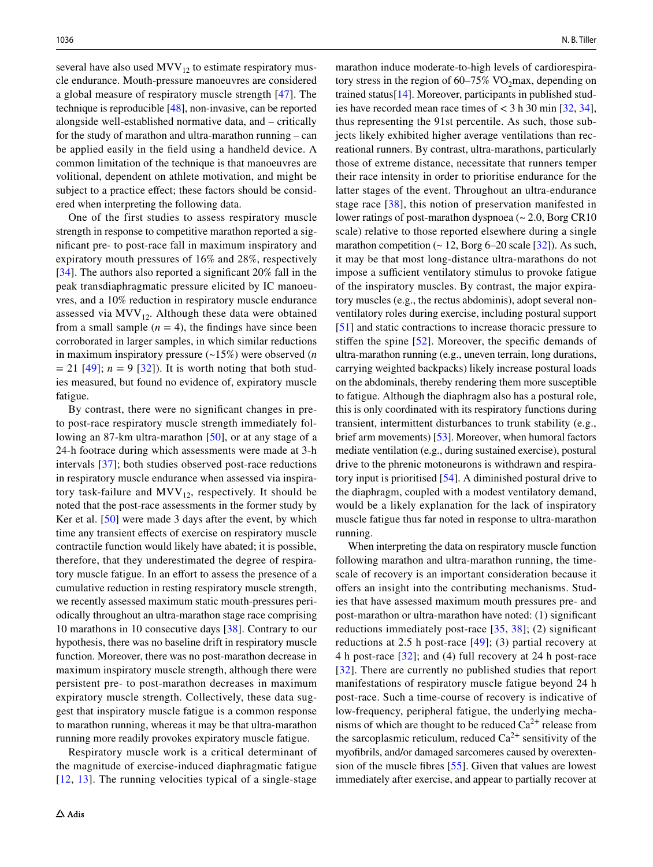several have also used  $MVV_{12}$  to estimate respiratory muscle endurance. Mouth-pressure manoeuvres are considered a global measure of respiratory muscle strength [[47](#page-10-12)]. The technique is reproducible [[48](#page-10-13)], non-invasive, can be reported alongside well-established normative data, and – critically for the study of marathon and ultra-marathon running – can be applied easily in the feld using a handheld device. A common limitation of the technique is that manoeuvres are volitional, dependent on athlete motivation, and might be subject to a practice effect; these factors should be considered when interpreting the following data.

One of the first studies to assess respiratory muscle strength in response to competitive marathon reported a signifcant pre- to post-race fall in maximum inspiratory and expiratory mouth pressures of 16% and 28%, respectively [\[34\]](#page-9-29). The authors also reported a significant 20% fall in the peak transdiaphragmatic pressure elicited by IC manoeuvres, and a 10% reduction in respiratory muscle endurance assessed via  $MVV_{12}$ . Although these data were obtained from a small sample  $(n = 4)$ , the findings have since been corroborated in larger samples, in which similar reductions in maximum inspiratory pressure (~15%) were observed (*n*  $= 21$  [[49](#page-10-0)];  $n = 9$  [\[32\]](#page-9-27)). It is worth noting that both studies measured, but found no evidence of, expiratory muscle fatigue.

By contrast, there were no signifcant changes in preto post-race respiratory muscle strength immediately fol-lowing an 87-km ultra-marathon [\[50\]](#page-10-1), or at any stage of a 24-h footrace during which assessments were made at 3-h intervals [[37](#page-9-31)]; both studies observed post-race reductions in respiratory muscle endurance when assessed via inspiratory task-failure and  $MVV_{12}$ , respectively. It should be noted that the post-race assessments in the former study by Ker et al. [\[50](#page-10-1)] were made 3 days after the event, by which time any transient efects of exercise on respiratory muscle contractile function would likely have abated; it is possible, therefore, that they underestimated the degree of respiratory muscle fatigue. In an effort to assess the presence of a cumulative reduction in resting respiratory muscle strength, we recently assessed maximum static mouth-pressures periodically throughout an ultra-marathon stage race comprising 10 marathons in 10 consecutive days [\[38](#page-10-5)]. Contrary to our hypothesis, there was no baseline drift in respiratory muscle function. Moreover, there was no post-marathon decrease in maximum inspiratory muscle strength, although there were persistent pre- to post-marathon decreases in maximum expiratory muscle strength. Collectively, these data suggest that inspiratory muscle fatigue is a common response to marathon running, whereas it may be that ultra-marathon running more readily provokes expiratory muscle fatigue.

Respiratory muscle work is a critical determinant of the magnitude of exercise-induced diaphragmatic fatigue [[12,](#page-9-11) [13](#page-9-12)]. The running velocities typical of a single-stage

marathon induce moderate-to-high levels of cardiorespiratory stress in the region of  $60-75\%$  VO<sub>2</sub>max, depending on trained status[\[14](#page-9-13)]. Moreover, participants in published studies have recorded mean race times of  $<$  3 h 30 min [\[32](#page-9-27), [34](#page-9-29)], thus representing the 91st percentile. As such, those subjects likely exhibited higher average ventilations than recreational runners. By contrast, ultra-marathons, particularly those of extreme distance, necessitate that runners temper their race intensity in order to prioritise endurance for the latter stages of the event. Throughout an ultra-endurance stage race [\[38\]](#page-10-5), this notion of preservation manifested in lower ratings of post-marathon dyspnoea  $\sim 2.0$ , Borg CR10 scale) relative to those reported elsewhere during a single marathon competition  $($   $\sim$  12, Borg 6–20 scale [\[32](#page-9-27)]). As such, it may be that most long-distance ultra-marathons do not impose a sufficient ventilatory stimulus to provoke fatigue of the inspiratory muscles. By contrast, the major expiratory muscles (e.g., the rectus abdominis), adopt several nonventilatory roles during exercise, including postural support [[51\]](#page-10-14) and static contractions to increase thoracic pressure to stifen the spine [[52](#page-10-15)]. Moreover, the specifc demands of ultra-marathon running (e.g., uneven terrain, long durations, carrying weighted backpacks) likely increase postural loads on the abdominals, thereby rendering them more susceptible to fatigue. Although the diaphragm also has a postural role, this is only coordinated with its respiratory functions during transient, intermittent disturbances to trunk stability (e.g., brief arm movements) [[53](#page-10-16)]. Moreover, when humoral factors mediate ventilation (e.g., during sustained exercise), postural drive to the phrenic motoneurons is withdrawn and respiratory input is prioritised [\[54](#page-10-17)]. A diminished postural drive to the diaphragm, coupled with a modest ventilatory demand, would be a likely explanation for the lack of inspiratory muscle fatigue thus far noted in response to ultra-marathon running.

When interpreting the data on respiratory muscle function following marathon and ultra-marathon running, the timescale of recovery is an important consideration because it offers an insight into the contributing mechanisms. Studies that have assessed maximum mouth pressures pre- and post-marathon or ultra-marathon have noted: (1) signifcant reductions immediately post-race  $[35, 38]$  $[35, 38]$  $[35, 38]$  $[35, 38]$ ; (2) significant reductions at 2.5 h post-race  $[49]$ ; (3) partial recovery at 4 h post-race [\[32\]](#page-9-27); and (4) full recovery at 24 h post-race [[32\]](#page-9-27). There are currently no published studies that report manifestations of respiratory muscle fatigue beyond 24 h post-race. Such a time-course of recovery is indicative of low-frequency, peripheral fatigue, the underlying mechanisms of which are thought to be reduced  $Ca^{2+}$  release from the sarcoplasmic reticulum, reduced  $Ca^{2+}$  sensitivity of the myofbrils, and/or damaged sarcomeres caused by overextension of the muscle fbres [\[55\]](#page-10-18). Given that values are lowest immediately after exercise, and appear to partially recover at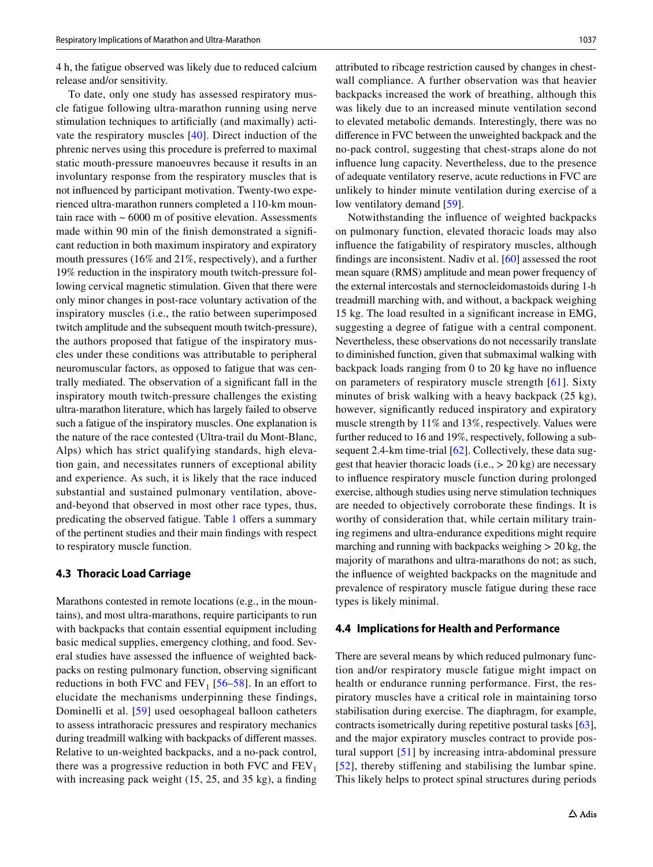4 h, the fatigue observed was likely due to reduced calcium release and/or sensitivity.

To date, only one study has assessed respiratory muscle fatigue following ultra-marathon running using nerve stimulation techniques to artifcially (and maximally) activate the respiratory muscles [[40\]](#page-10-3). Direct induction of the phrenic nerves using this procedure is preferred to maximal static mouth-pressure manoeuvres because it results in an involuntary response from the respiratory muscles that is not infuenced by participant motivation. Twenty-two experienced ultra-marathon runners completed a 110-km mountain race with  $\sim 6000$  m of positive elevation. Assessments made within 90 min of the fnish demonstrated a signifcant reduction in both maximum inspiratory and expiratory mouth pressures (16% and 21%, respectively), and a further 19% reduction in the inspiratory mouth twitch-pressure following cervical magnetic stimulation. Given that there were only minor changes in post-race voluntary activation of the inspiratory muscles (i.e., the ratio between superimposed twitch amplitude and the subsequent mouth twitch-pressure), the authors proposed that fatigue of the inspiratory muscles under these conditions was attributable to peripheral neuromuscular factors, as opposed to fatigue that was centrally mediated. The observation of a signifcant fall in the inspiratory mouth twitch-pressure challenges the existing ultra-marathon literature, which has largely failed to observe such a fatigue of the inspiratory muscles. One explanation is the nature of the race contested (Ultra-trail du Mont-Blanc, Alps) which has strict qualifying standards, high elevation gain, and necessitates runners of exceptional ability and experience. As such, it is likely that the race induced substantial and sustained pulmonary ventilation, aboveand-beyond that observed in most other race types, thus, predicating the observed fatigue. Table [1](#page-3-0) offers a summary of the pertinent studies and their main fndings with respect to respiratory muscle function.

#### **4.3 Thoracic Load Carriage**

Marathons contested in remote locations (e.g., in the mountains), and most ultra-marathons, require participants to run with backpacks that contain essential equipment including basic medical supplies, emergency clothing, and food. Several studies have assessed the infuence of weighted backpacks on resting pulmonary function, observing signifcant reductions in both FVC and  $FEV_1$  [[56–](#page-10-19)[58](#page-10-20)]. In an effort to elucidate the mechanisms underpinning these findings, Dominelli et al. [[59](#page-10-21)] used oesophageal balloon catheters to assess intrathoracic pressures and respiratory mechanics during treadmill walking with backpacks of diferent masses. Relative to un-weighted backpacks, and a no-pack control, there was a progressive reduction in both FVC and  $FEV<sub>1</sub>$ with increasing pack weight (15, 25, and 35 kg), a finding

attributed to ribcage restriction caused by changes in chestwall compliance. A further observation was that heavier backpacks increased the work of breathing, although this was likely due to an increased minute ventilation second to elevated metabolic demands. Interestingly, there was no diference in FVC between the unweighted backpack and the no-pack control, suggesting that chest-straps alone do not infuence lung capacity. Nevertheless, due to the presence of adequate ventilatory reserve, acute reductions in FVC are unlikely to hinder minute ventilation during exercise of a low ventilatory demand [[59\]](#page-10-21).

Notwithstanding the infuence of weighted backpacks on pulmonary function, elevated thoracic loads may also infuence the fatigability of respiratory muscles, although fndings are inconsistent. Nadiv et al. [[60](#page-10-22)] assessed the root mean square (RMS) amplitude and mean power frequency of the external intercostals and sternocleidomastoids during 1-h treadmill marching with, and without, a backpack weighing 15 kg. The load resulted in a signifcant increase in EMG, suggesting a degree of fatigue with a central component. Nevertheless, these observations do not necessarily translate to diminished function, given that submaximal walking with backpack loads ranging from 0 to 20 kg have no infuence on parameters of respiratory muscle strength [[61](#page-10-23)]. Sixty minutes of brisk walking with a heavy backpack (25 kg), however, significantly reduced inspiratory and expiratory muscle strength by 11% and 13%, respectively. Values were further reduced to 16 and 19%, respectively, following a sub-sequent 2.4-km time-trial [\[62\]](#page-10-24). Collectively, these data suggest that heavier thoracic loads (i.e.,  $> 20$  kg) are necessary to infuence respiratory muscle function during prolonged exercise, although studies using nerve stimulation techniques are needed to objectively corroborate these fndings. It is worthy of consideration that, while certain military training regimens and ultra-endurance expeditions might require marching and running with backpacks weighing  $> 20$  kg, the majority of marathons and ultra-marathons do not; as such, the infuence of weighted backpacks on the magnitude and prevalence of respiratory muscle fatigue during these race types is likely minimal.

#### **4.4 Implications for Health and Performance**

There are several means by which reduced pulmonary function and/or respiratory muscle fatigue might impact on health or endurance running performance. First, the respiratory muscles have a critical role in maintaining torso stabilisation during exercise. The diaphragm, for example, contracts isometrically during repetitive postural tasks [\[63](#page-10-25)], and the major expiratory muscles contract to provide postural support [[51](#page-10-14)] by increasing intra-abdominal pressure [[52](#page-10-15)], thereby stifening and stabilising the lumbar spine. This likely helps to protect spinal structures during periods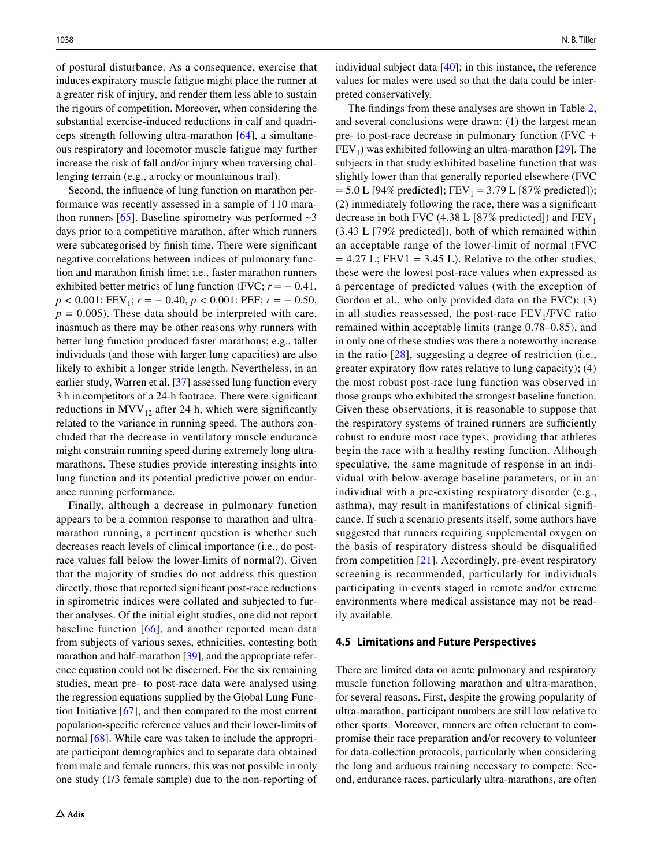of postural disturbance. As a consequence, exercise that induces expiratory muscle fatigue might place the runner at a greater risk of injury, and render them less able to sustain the rigours of competition. Moreover, when considering the substantial exercise-induced reductions in calf and quadriceps strength following ultra-marathon [[64](#page-10-26)], a simultaneous respiratory and locomotor muscle fatigue may further increase the risk of fall and/or injury when traversing challenging terrain (e.g., a rocky or mountainous trail).

Second, the infuence of lung function on marathon performance was recently assessed in a sample of 110 marathon runners  $[65]$  $[65]$ . Baseline spirometry was performed  $\sim$ 3 days prior to a competitive marathon, after which runners were subcategorised by fnish time. There were signifcant negative correlations between indices of pulmonary function and marathon fnish time; i.e., faster marathon runners exhibited better metrics of lung function (FVC;  $r = -0.41$ , *p* < 0.001: FEV<sub>1</sub>; *r* = − 0.40, *p* < 0.001: PEF; *r* = − 0.50,  $p = 0.005$ ). These data should be interpreted with care, inasmuch as there may be other reasons why runners with better lung function produced faster marathons; e.g., taller individuals (and those with larger lung capacities) are also likely to exhibit a longer stride length. Nevertheless, in an earlier study, Warren et al. [\[37](#page-9-31)] assessed lung function every 3 h in competitors of a 24-h footrace. There were signifcant reductions in MVV<sub>12</sub> after 24 h, which were significantly related to the variance in running speed. The authors concluded that the decrease in ventilatory muscle endurance might constrain running speed during extremely long ultramarathons. These studies provide interesting insights into lung function and its potential predictive power on endurance running performance.

Finally, although a decrease in pulmonary function appears to be a common response to marathon and ultramarathon running, a pertinent question is whether such decreases reach levels of clinical importance (i.e., do postrace values fall below the lower-limits of normal?). Given that the majority of studies do not address this question directly, those that reported signifcant post-race reductions in spirometric indices were collated and subjected to further analyses. Of the initial eight studies, one did not report baseline function  $[66]$  $[66]$  $[66]$ , and another reported mean data from subjects of various sexes, ethnicities, contesting both marathon and half-marathon [\[39](#page-10-4)], and the appropriate reference equation could not be discerned. For the six remaining studies, mean pre- to post-race data were analysed using the regression equations supplied by the Global Lung Function Initiative [\[67](#page-10-28)], and then compared to the most current population-specifc reference values and their lower-limits of normal [[68\]](#page-10-29). While care was taken to include the appropriate participant demographics and to separate data obtained from male and female runners, this was not possible in only one study (1/3 female sample) due to the non-reporting of individual subject data  $[40]$  $[40]$ ; in this instance, the reference values for males were used so that the data could be interpreted conservatively.

The fndings from these analyses are shown in Table [2,](#page-8-0) and several conclusions were drawn: (1) the largest mean pre- to post-race decrease in pulmonary function (FVC +  $FEV<sub>1</sub>$ ) was exhibited following an ultra-marathon [\[29](#page-9-24)]. The subjects in that study exhibited baseline function that was slightly lower than that generally reported elsewhere (FVC  $= 5.0$  L [94% predicted]; FEV<sub>1</sub> = 3.79 L [87% predicted]); (2) immediately following the race, there was a signifcant decrease in both FVC (4.38 L [87% predicted]) and  $FEV<sub>1</sub>$ (3.43 L [79% predicted]), both of which remained within an acceptable range of the lower-limit of normal (FVC  $= 4.27$  L; FEV1 = 3.45 L). Relative to the other studies, these were the lowest post-race values when expressed as a percentage of predicted values (with the exception of Gordon et al., who only provided data on the FVC); (3) in all studies reassessed, the post-race  $FEV<sub>1</sub>/FVC$  ratio remained within acceptable limits (range 0.78–0.85), and in only one of these studies was there a noteworthy increase in the ratio [[28](#page-9-23)], suggesting a degree of restriction (i.e., greater expiratory flow rates relative to lung capacity); (4) the most robust post-race lung function was observed in those groups who exhibited the strongest baseline function. Given these observations, it is reasonable to suppose that the respiratory systems of trained runners are sufficiently robust to endure most race types, providing that athletes begin the race with a healthy resting function. Although speculative, the same magnitude of response in an individual with below-average baseline parameters, or in an individual with a pre-existing respiratory disorder (e.g., asthma), may result in manifestations of clinical signifcance. If such a scenario presents itself, some authors have suggested that runners requiring supplemental oxygen on the basis of respiratory distress should be disqualifed from competition  $[21]$  $[21]$  $[21]$ . Accordingly, pre-event respiratory screening is recommended, particularly for individuals participating in events staged in remote and/or extreme environments where medical assistance may not be readily available.

#### **4.5 Limitations and Future Perspectives**

There are limited data on acute pulmonary and respiratory muscle function following marathon and ultra-marathon, for several reasons. First, despite the growing popularity of ultra-marathon, participant numbers are still low relative to other sports. Moreover, runners are often reluctant to compromise their race preparation and/or recovery to volunteer for data-collection protocols, particularly when considering the long and arduous training necessary to compete. Second, endurance races, particularly ultra-marathons, are often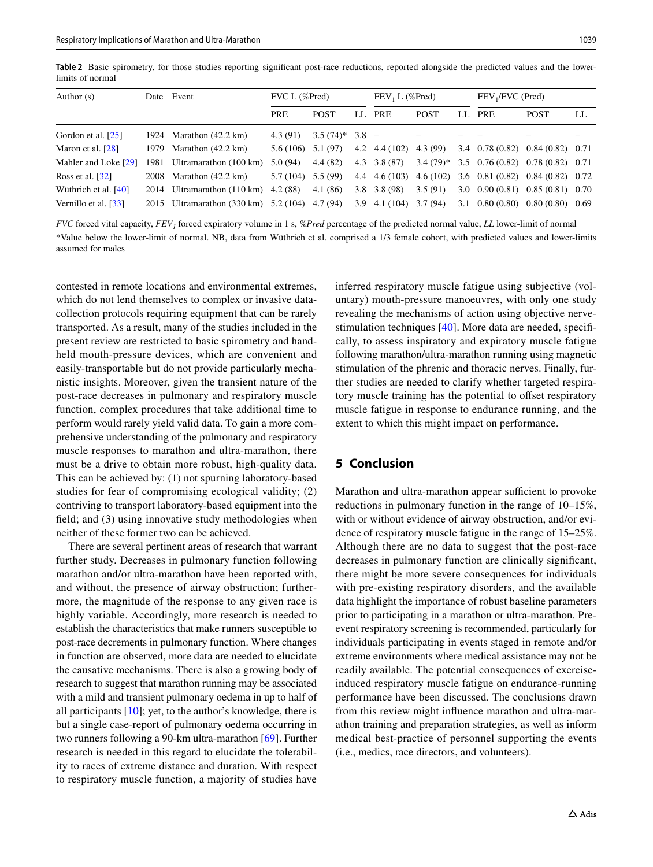<span id="page-8-0"></span>

|                  |  |  |  | Table 2 Basic spirometry, for those studies reporting significant post-race reductions, reported alongside the predicted values and the lower- |  |  |  |  |
|------------------|--|--|--|------------------------------------------------------------------------------------------------------------------------------------------------|--|--|--|--|
| limits of normal |  |  |  |                                                                                                                                                |  |  |  |  |

| Author $(s)$                      |      | Date Event                            | $FVC L$ (%Pred) |                   |     | $FEV_1 L$ (%Pred)      |             |     | FEV <sub>1</sub> /FVC (Pred)         |                   |     |
|-----------------------------------|------|---------------------------------------|-----------------|-------------------|-----|------------------------|-------------|-----|--------------------------------------|-------------------|-----|
|                                   |      |                                       | <b>PRE</b>      | <b>POST</b>       | LL. | <b>PRE</b>             | <b>POST</b> | LL. | <b>PRE</b>                           | <b>POST</b>       | LL. |
| Gordon et al. [25]                | 1924 | Marathon $(42.2 \text{ km})$          | 4.3(91)         | $3.5(74)^*$ 3.8 - |     |                        |             |     |                                      |                   |     |
| Maron et al. $[28]$               |      | 1979 Marathon (42.2 km)               | 5.6 (106)       | 5.1 (97)          |     | 4.2 $4.4(102)$         | 4.3 (99)    |     | 3.4 $0.78(0.82)$ $0.84(0.82)$ $0.71$ |                   |     |
| Mahler and Loke [29]              |      | 1981 Ultramarathon (100 km)           | 5.0(94)         | 4.4(82)           |     | $4.3 \quad 3.8 \ (87)$ | $3.4(79)*$  |     | $3.5$ 0.76 (0.82) 0.78 (0.82) 0.71   |                   |     |
| Ross et al. $[32]$                |      | 2008 Marathon (42.2 km)               | 5.7 (104)       | 5.5 (99)          |     | $4.4 \quad 4.6(103)$   |             |     | $4.6(102)$ 3.6 0.81 (0.82)           | $0.84(0.82)$ 0.72 |     |
| Wüthrich et al. [40]              |      | 2014 Ultramarathon (110 km)           | 4.2(88)         | 4.1(86)           |     | $3.8$ $3.8$ (98)       | 3.5(91)     |     | $3.0 \quad 0.90 \ (0.81)$            | $0.85(0.81)$ 0.70 |     |
| Vernillo et al. $\left[33\right]$ |      | 2015 Ultramarathon (330 km) 5.2 (104) |                 | 4.7(94)           | 3.9 | $4.1(104)$ $3.7(94)$   |             |     | $3.1$ 0.80 (0.80) 0.80 (0.80) 0.69   |                   |     |

*FVC* forced vital capacity, *FEV<sub>1</sub>* forced expiratory volume in 1 s, *%Pred* percentage of the predicted normal value, *LL* lower-limit of normal \*Value below the lower-limit of normal. NB, data from Wüthrich et al. comprised a 1/3 female cohort, with predicted values and lower-limits assumed for males

contested in remote locations and environmental extremes, which do not lend themselves to complex or invasive datacollection protocols requiring equipment that can be rarely transported. As a result, many of the studies included in the present review are restricted to basic spirometry and handheld mouth-pressure devices, which are convenient and easily-transportable but do not provide particularly mechanistic insights. Moreover, given the transient nature of the post-race decreases in pulmonary and respiratory muscle function, complex procedures that take additional time to perform would rarely yield valid data. To gain a more comprehensive understanding of the pulmonary and respiratory muscle responses to marathon and ultra-marathon, there must be a drive to obtain more robust, high-quality data. This can be achieved by: (1) not spurning laboratory-based studies for fear of compromising ecological validity; (2) contriving to transport laboratory-based equipment into the feld; and (3) using innovative study methodologies when neither of these former two can be achieved.

There are several pertinent areas of research that warrant further study. Decreases in pulmonary function following marathon and/or ultra-marathon have been reported with, and without, the presence of airway obstruction; furthermore, the magnitude of the response to any given race is highly variable. Accordingly, more research is needed to establish the characteristics that make runners susceptible to post-race decrements in pulmonary function. Where changes in function are observed, more data are needed to elucidate the causative mechanisms. There is also a growing body of research to suggest that marathon running may be associated with a mild and transient pulmonary oedema in up to half of all participants [\[10\]](#page-9-9); yet, to the author's knowledge, there is but a single case-report of pulmonary oedema occurring in two runners following a 90-km ultra-marathon [\[69](#page-10-30)]. Further research is needed in this regard to elucidate the tolerability to races of extreme distance and duration. With respect to respiratory muscle function, a majority of studies have

inferred respiratory muscle fatigue using subjective (voluntary) mouth-pressure manoeuvres, with only one study revealing the mechanisms of action using objective nervestimulation techniques [\[40](#page-10-3)]. More data are needed, specifcally, to assess inspiratory and expiratory muscle fatigue following marathon/ultra-marathon running using magnetic stimulation of the phrenic and thoracic nerves. Finally, further studies are needed to clarify whether targeted respiratory muscle training has the potential to offset respiratory muscle fatigue in response to endurance running, and the extent to which this might impact on performance.

# **5 Conclusion**

Marathon and ultra-marathon appear sufficient to provoke reductions in pulmonary function in the range of 10–15%, with or without evidence of airway obstruction, and/or evidence of respiratory muscle fatigue in the range of 15–25%. Although there are no data to suggest that the post-race decreases in pulmonary function are clinically signifcant, there might be more severe consequences for individuals with pre-existing respiratory disorders, and the available data highlight the importance of robust baseline parameters prior to participating in a marathon or ultra-marathon. Preevent respiratory screening is recommended, particularly for individuals participating in events staged in remote and/or extreme environments where medical assistance may not be readily available. The potential consequences of exerciseinduced respiratory muscle fatigue on endurance-running performance have been discussed. The conclusions drawn from this review might infuence marathon and ultra-marathon training and preparation strategies, as well as inform medical best-practice of personnel supporting the events (i.e., medics, race directors, and volunteers).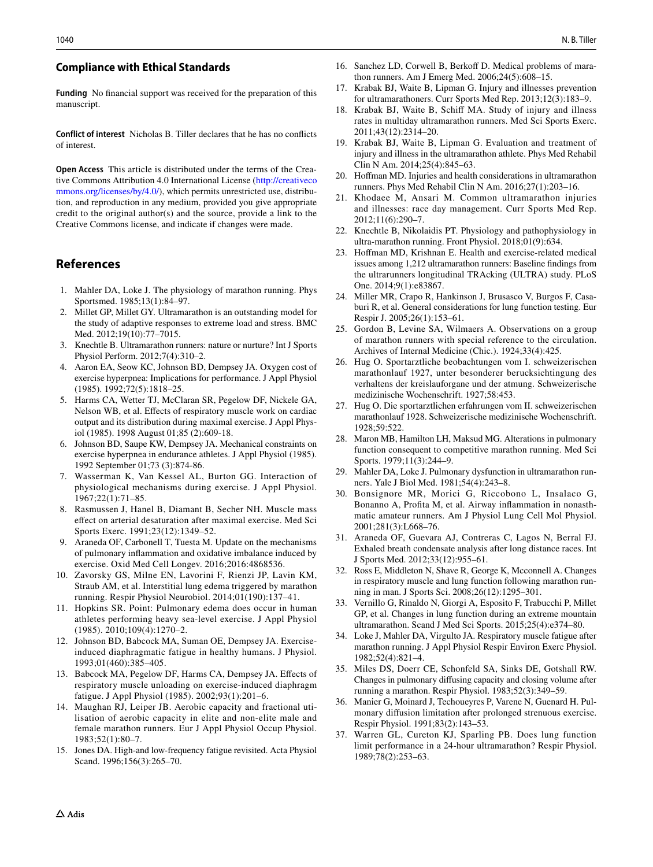#### **Compliance with Ethical Standards**

**Funding** No fnancial support was received for the preparation of this manuscript.

**Conflict of interest** Nicholas B. Tiller declares that he has no conficts of interest.

**Open Access** This article is distributed under the terms of the Creative Commons Attribution 4.0 International License [\(http://creativeco](http://creativecommons.org/licenses/by/4.0/) [mmons.org/licenses/by/4.0/](http://creativecommons.org/licenses/by/4.0/)), which permits unrestricted use, distribution, and reproduction in any medium, provided you give appropriate credit to the original author(s) and the source, provide a link to the Creative Commons license, and indicate if changes were made.

## **References**

- <span id="page-9-0"></span>1. Mahler DA, Loke J. The physiology of marathon running. Phys Sportsmed. 1985;13(1):84–97.
- <span id="page-9-1"></span>2. Millet GP, Millet GY. Ultramarathon is an outstanding model for the study of adaptive responses to extreme load and stress. BMC Med. 2012;19(10):77–7015.
- <span id="page-9-2"></span>3. Knechtle B. Ultramarathon runners: nature or nurture? Int J Sports Physiol Perform. 2012;7(4):310–2.
- <span id="page-9-3"></span>4. Aaron EA, Seow KC, Johnson BD, Dempsey JA. Oxygen cost of exercise hyperpnea: Implications for performance. J Appl Physiol (1985). 1992;72(5):1818–25.
- <span id="page-9-4"></span>5. Harms CA, Wetter TJ, McClaran SR, Pegelow DF, Nickele GA, Nelson WB, et al. Efects of respiratory muscle work on cardiac output and its distribution during maximal exercise. J Appl Physiol (1985). 1998 August 01;85 (2):609-18.
- <span id="page-9-5"></span>6. Johnson BD, Saupe KW, Dempsey JA. Mechanical constraints on exercise hyperpnea in endurance athletes. J Appl Physiol (1985). 1992 September 01;73 (3):874-86.
- <span id="page-9-6"></span>7. Wasserman K, Van Kessel AL, Burton GG. Interaction of physiological mechanisms during exercise. J Appl Physiol. 1967;22(1):71–85.
- <span id="page-9-7"></span>8. Rasmussen J, Hanel B, Diamant B, Secher NH. Muscle mass efect on arterial desaturation after maximal exercise. Med Sci Sports Exerc. 1991;23(12):1349–52.
- <span id="page-9-8"></span>9. Araneda OF, Carbonell T, Tuesta M. Update on the mechanisms of pulmonary infammation and oxidative imbalance induced by exercise. Oxid Med Cell Longev. 2016;2016:4868536.
- <span id="page-9-9"></span>10. Zavorsky GS, Milne EN, Lavorini F, Rienzi JP, Lavin KM, Straub AM, et al. Interstitial lung edema triggered by marathon running. Respir Physiol Neurobiol. 2014;01(190):137–41.
- <span id="page-9-10"></span>11. Hopkins SR. Point: Pulmonary edema does occur in human athletes performing heavy sea-level exercise. J Appl Physiol (1985). 2010;109(4):1270–2.
- <span id="page-9-11"></span>12. Johnson BD, Babcock MA, Suman OE, Dempsey JA. Exerciseinduced diaphragmatic fatigue in healthy humans. J Physiol. 1993;01(460):385–405.
- <span id="page-9-12"></span>13. Babcock MA, Pegelow DF, Harms CA, Dempsey JA. Efects of respiratory muscle unloading on exercise-induced diaphragm fatigue. J Appl Physiol (1985). 2002;93(1):201–6.
- <span id="page-9-13"></span>14. Maughan RJ, Leiper JB. Aerobic capacity and fractional utilisation of aerobic capacity in elite and non-elite male and female marathon runners. Eur J Appl Physiol Occup Physiol. 1983;52(1):80–7.
- <span id="page-9-14"></span>15. Jones DA. High-and low-frequency fatigue revisited. Acta Physiol Scand. 1996;156(3):265-70.
- <span id="page-9-15"></span>16. Sanchez LD, Corwell B, Berkoff D. Medical problems of marathon runners. Am J Emerg Med. 2006;24(5):608–15.
- <span id="page-9-16"></span>17. Krabak BJ, Waite B, Lipman G. Injury and illnesses prevention for ultramarathoners. Curr Sports Med Rep. 2013;12(3):183–9.
- 18. Krabak BJ, Waite B, Schif MA. Study of injury and illness rates in multiday ultramarathon runners. Med Sci Sports Exerc. 2011;43(12):2314–20.
- 19. Krabak BJ, Waite B, Lipman G. Evaluation and treatment of injury and illness in the ultramarathon athlete. Phys Med Rehabil Clin N Am. 2014;25(4):845–63.
- 20. Hofman MD. Injuries and health considerations in ultramarathon runners. Phys Med Rehabil Clin N Am. 2016;27(1):203–16.
- <span id="page-9-33"></span>21. Khodaee M, Ansari M. Common ultramarathon injuries and illnesses: race day management. Curr Sports Med Rep. 2012;11(6):290–7.
- <span id="page-9-18"></span>22. Knechtle B, Nikolaidis PT. Physiology and pathophysiology in ultra-marathon running. Front Physiol. 2018;01(9):634.
- <span id="page-9-17"></span>23. Hofman MD, Krishnan E. Health and exercise-related medical issues among 1,212 ultramarathon runners: Baseline fndings from the ultrarunners longitudinal TRAcking (ULTRA) study. PLoS One. 2014;9(1):e83867.
- <span id="page-9-19"></span>24. Miller MR, Crapo R, Hankinson J, Brusasco V, Burgos F, Casaburi R, et al. General considerations for lung function testing. Eur Respir J. 2005;26(1):153–61.
- <span id="page-9-20"></span>25. Gordon B, Levine SA, Wilmaers A. Observations on a group of marathon runners with special reference to the circulation. Archives of Internal Medicine (Chic.). 1924;33(4):425.
- <span id="page-9-21"></span>26. Hug O. Sportarztliche beobachtungen vom I. schweizerischen marathonlauf 1927, unter besonderer berucksichtingung des verhaltens der kreislauforgane und der atmung. Schweizerische medizinische Wochenschrift. 1927;58:453.
- <span id="page-9-22"></span>27. Hug O. Die sportarztlichen erfahrungen vom II. schweizerischen marathonlauf 1928. Schweizerische medizinische Wochenschrift. 1928;59:522.
- <span id="page-9-23"></span>28. Maron MB, Hamilton LH, Maksud MG. Alterations in pulmonary function consequent to competitive marathon running. Med Sci Sports. 1979;11(3):244–9.
- <span id="page-9-24"></span>29. Mahler DA, Loke J. Pulmonary dysfunction in ultramarathon runners. Yale J Biol Med. 1981;54(4):243–8.
- <span id="page-9-25"></span>30. Bonsignore MR, Morici G, Riccobono L, Insalaco G, Bonanno A, Profta M, et al. Airway infammation in nonasthmatic amateur runners. Am J Physiol Lung Cell Mol Physiol. 2001;281(3):L668–76.
- <span id="page-9-26"></span>31. Araneda OF, Guevara AJ, Contreras C, Lagos N, Berral FJ. Exhaled breath condensate analysis after long distance races. Int J Sports Med. 2012;33(12):955–61.
- <span id="page-9-27"></span>32. Ross E, Middleton N, Shave R, George K, Mcconnell A. Changes in respiratory muscle and lung function following marathon running in man. J Sports Sci. 2008;26(12):1295–301.
- <span id="page-9-28"></span>33. Vernillo G, Rinaldo N, Giorgi A, Esposito F, Trabucchi P, Millet GP, et al. Changes in lung function during an extreme mountain ultramarathon. Scand J Med Sci Sports. 2015;25(4):e374–80.
- <span id="page-9-29"></span>34. Loke J, Mahler DA, Virgulto JA. Respiratory muscle fatigue after marathon running. J Appl Physiol Respir Environ Exerc Physiol. 1982;52(4):821–4.
- <span id="page-9-30"></span>35. Miles DS, Doerr CE, Schonfeld SA, Sinks DE, Gotshall RW. Changes in pulmonary difusing capacity and closing volume after running a marathon. Respir Physiol. 1983;52(3):349–59.
- <span id="page-9-32"></span>36. Manier G, Moinard J, Techoueyres P, Varene N, Guenard H. Pulmonary difusion limitation after prolonged strenuous exercise. Respir Physiol. 1991;83(2):143–53.
- <span id="page-9-31"></span>37. Warren GL, Cureton KJ, Sparling PB. Does lung function limit performance in a 24-hour ultramarathon? Respir Physiol. 1989;78(2):253–63.